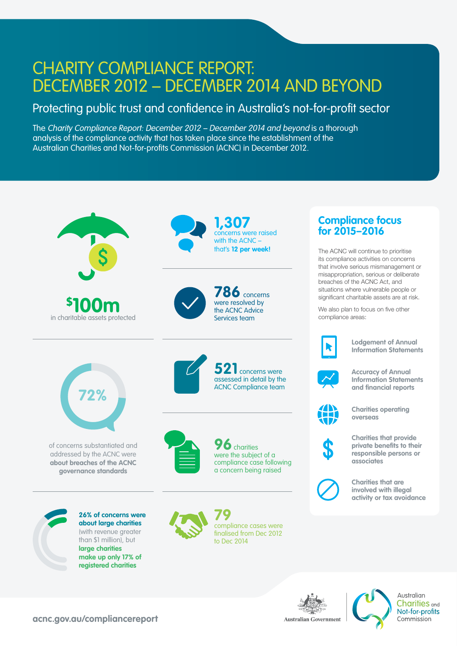## CHARITY COMPLIANCE REPORT: DECEMBER 2012 – DECEMBER 2014 AND BEYOND

## Protecting public trust and confidence in Australia's not-for-profit sector

The Charity Compliance Report: December 2012 – December 2014 and beyond is a thorough analysis of the compliance activity that has taken place since the establishment of the Australian Charities and Not-for-profits Commission (ACNC) in December 2012.



**acnc.gov.au/compliancereport**



Australian **Charities** and Not-for-profits Commission

**Australian Government**